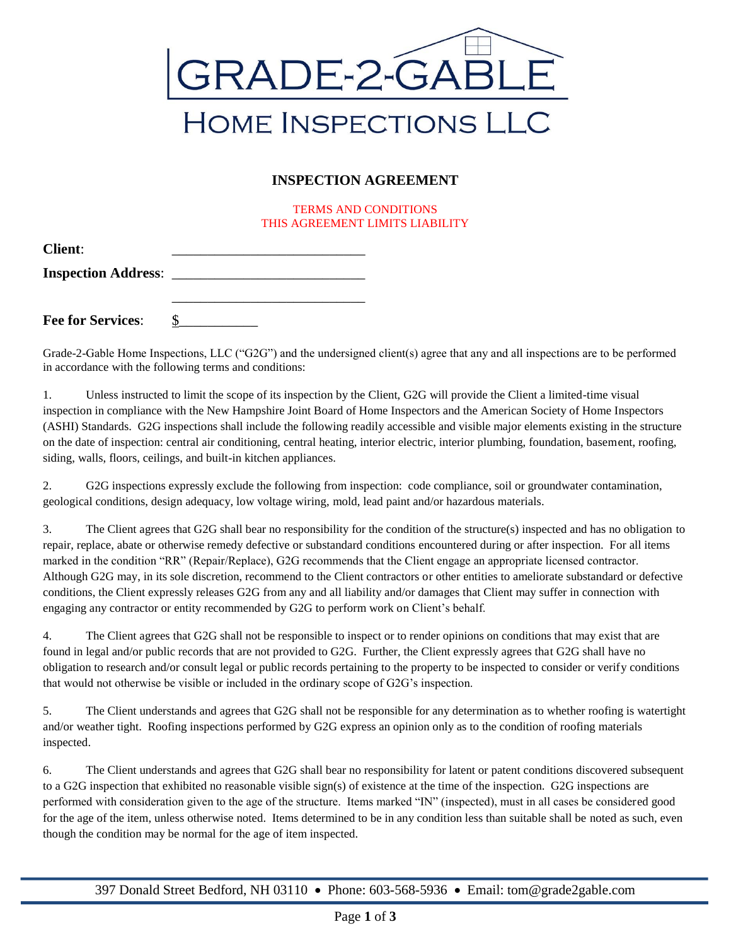

## **INSPECTION AGREEMENT**

TERMS AND CONDITIONS THIS AGREEMENT LIMITS LIABILITY

| <b>Client:</b>             |  |
|----------------------------|--|
| <b>Inspection Address:</b> |  |
|                            |  |

**Fee for Services:** 

Grade-2-Gable Home Inspections, LLC ("G2G") and the undersigned client(s) agree that any and all inspections are to be performed in accordance with the following terms and conditions:

1. Unless instructed to limit the scope of its inspection by the Client, G2G will provide the Client a limited-time visual inspection in compliance with the New Hampshire Joint Board of Home Inspectors and the American Society of Home Inspectors (ASHI) Standards. G2G inspections shall include the following readily accessible and visible major elements existing in the structure on the date of inspection: central air conditioning, central heating, interior electric, interior plumbing, foundation, basement, roofing, siding, walls, floors, ceilings, and built-in kitchen appliances.

2. G2G inspections expressly exclude the following from inspection: code compliance, soil or groundwater contamination, geological conditions, design adequacy, low voltage wiring, mold, lead paint and/or hazardous materials.

3. The Client agrees that G2G shall bear no responsibility for the condition of the structure(s) inspected and has no obligation to repair, replace, abate or otherwise remedy defective or substandard conditions encountered during or after inspection. For all items marked in the condition "RR" (Repair/Replace), G2G recommends that the Client engage an appropriate licensed contractor. Although G2G may, in its sole discretion, recommend to the Client contractors or other entities to ameliorate substandard or defective conditions, the Client expressly releases G2G from any and all liability and/or damages that Client may suffer in connection with engaging any contractor or entity recommended by G2G to perform work on Client's behalf.

4. The Client agrees that G2G shall not be responsible to inspect or to render opinions on conditions that may exist that are found in legal and/or public records that are not provided to G2G. Further, the Client expressly agrees that G2G shall have no obligation to research and/or consult legal or public records pertaining to the property to be inspected to consider or verify conditions that would not otherwise be visible or included in the ordinary scope of G2G's inspection.

5. The Client understands and agrees that G2G shall not be responsible for any determination as to whether roofing is watertight and/or weather tight. Roofing inspections performed by G2G express an opinion only as to the condition of roofing materials inspected.

6. The Client understands and agrees that G2G shall bear no responsibility for latent or patent conditions discovered subsequent to a G2G inspection that exhibited no reasonable visible sign(s) of existence at the time of the inspection. G2G inspections are performed with consideration given to the age of the structure. Items marked "IN" (inspected), must in all cases be considered good for the age of the item, unless otherwise noted. Items determined to be in any condition less than suitable shall be noted as such, even though the condition may be normal for the age of item inspected.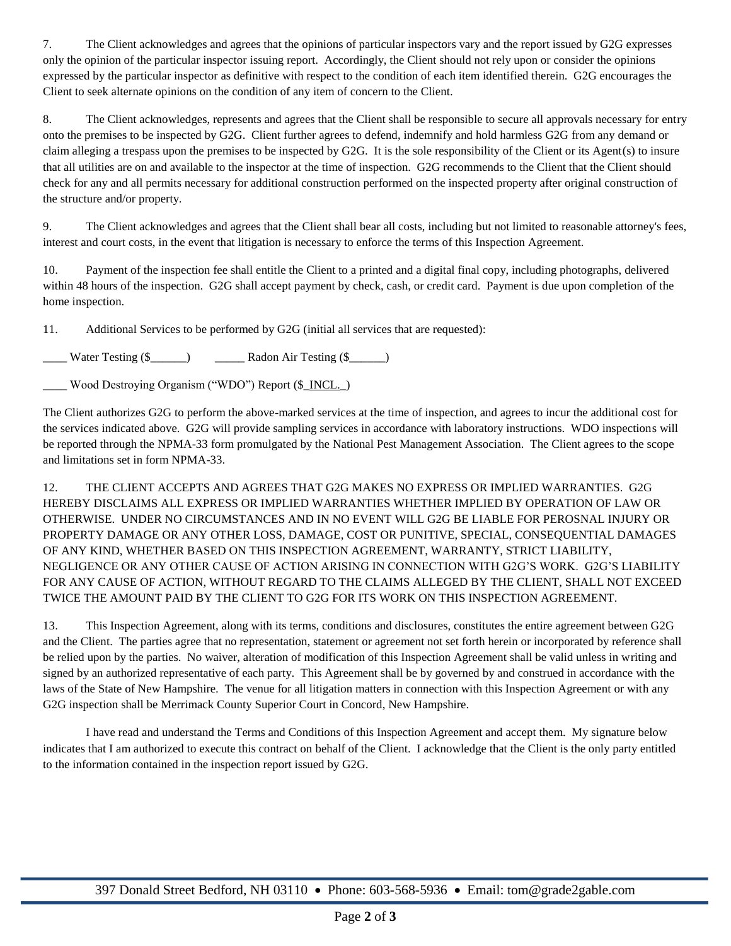7. The Client acknowledges and agrees that the opinions of particular inspectors vary and the report issued by G2G expresses only the opinion of the particular inspector issuing report. Accordingly, the Client should not rely upon or consider the opinions expressed by the particular inspector as definitive with respect to the condition of each item identified therein. G2G encourages the Client to seek alternate opinions on the condition of any item of concern to the Client.

8. The Client acknowledges, represents and agrees that the Client shall be responsible to secure all approvals necessary for entry onto the premises to be inspected by G2G. Client further agrees to defend, indemnify and hold harmless G2G from any demand or claim alleging a trespass upon the premises to be inspected by G2G. It is the sole responsibility of the Client or its Agent(s) to insure that all utilities are on and available to the inspector at the time of inspection. G2G recommends to the Client that the Client should check for any and all permits necessary for additional construction performed on the inspected property after original construction of the structure and/or property.

9. The Client acknowledges and agrees that the Client shall bear all costs, including but not limited to reasonable attorney's fees, interest and court costs, in the event that litigation is necessary to enforce the terms of this Inspection Agreement.

10. Payment of the inspection fee shall entitle the Client to a printed and a digital final copy, including photographs, delivered within 48 hours of the inspection. G2G shall accept payment by check, cash, or credit card. Payment is due upon completion of the home inspection.

11. Additional Services to be performed by G2G (initial all services that are requested):

\_\_\_\_ Water Testing (\$\_\_\_\_\_\_) \_\_\_\_\_ Radon Air Testing (\$\_\_\_\_\_\_)

Wood Destroying Organism ("WDO") Report (\$\_INCL.\_)

The Client authorizes G2G to perform the above-marked services at the time of inspection, and agrees to incur the additional cost for the services indicated above. G2G will provide sampling services in accordance with laboratory instructions. WDO inspections will be reported through the NPMA-33 form promulgated by the National Pest Management Association. The Client agrees to the scope and limitations set in form NPMA-33.

12. THE CLIENT ACCEPTS AND AGREES THAT G2G MAKES NO EXPRESS OR IMPLIED WARRANTIES. G2G HEREBY DISCLAIMS ALL EXPRESS OR IMPLIED WARRANTIES WHETHER IMPLIED BY OPERATION OF LAW OR OTHERWISE. UNDER NO CIRCUMSTANCES AND IN NO EVENT WILL G2G BE LIABLE FOR PEROSNAL INJURY OR PROPERTY DAMAGE OR ANY OTHER LOSS, DAMAGE, COST OR PUNITIVE, SPECIAL, CONSEQUENTIAL DAMAGES OF ANY KIND, WHETHER BASED ON THIS INSPECTION AGREEMENT, WARRANTY, STRICT LIABILITY, NEGLIGENCE OR ANY OTHER CAUSE OF ACTION ARISING IN CONNECTION WITH G2G'S WORK. G2G'S LIABILITY FOR ANY CAUSE OF ACTION, WITHOUT REGARD TO THE CLAIMS ALLEGED BY THE CLIENT, SHALL NOT EXCEED TWICE THE AMOUNT PAID BY THE CLIENT TO G2G FOR ITS WORK ON THIS INSPECTION AGREEMENT.

13. This Inspection Agreement, along with its terms, conditions and disclosures, constitutes the entire agreement between G2G and the Client. The parties agree that no representation, statement or agreement not set forth herein or incorporated by reference shall be relied upon by the parties. No waiver, alteration of modification of this Inspection Agreement shall be valid unless in writing and signed by an authorized representative of each party. This Agreement shall be by governed by and construed in accordance with the laws of the State of New Hampshire. The venue for all litigation matters in connection with this Inspection Agreement or with any G2G inspection shall be Merrimack County Superior Court in Concord, New Hampshire.

I have read and understand the Terms and Conditions of this Inspection Agreement and accept them. My signature below indicates that I am authorized to execute this contract on behalf of the Client. I acknowledge that the Client is the only party entitled to the information contained in the inspection report issued by G2G.